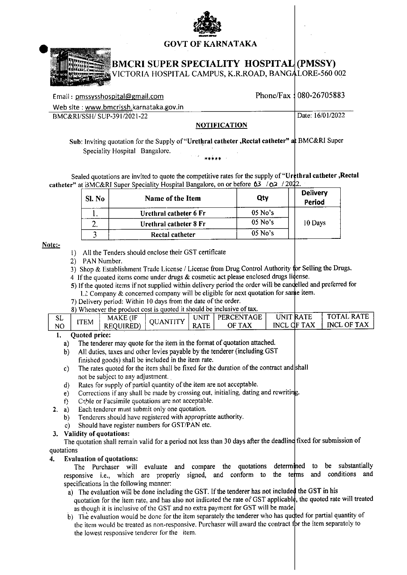

## **GOVT OF KARNATAKA**



# BMCRI SUPER SPECIALITY HOSPITAL|(PMSSY)

ICTORIA HOSPITAL CAMPUS, K.R.ROAD, BANGALORE-560 002

| Email: pmssysshospital@gmail.com        |                     | Phone/Fax 1080-26705883 |
|-----------------------------------------|---------------------|-------------------------|
| Web site: www.bmcrissh.karnataka.gov.in |                     |                         |
| BMC&RI/SSH/ SUP-391/2021-22             |                     | Date: 16/01/2022        |
|                                         | <b>NOTIFICATION</b> |                         |

Sub: Inviting quotation for the Supply of "Urethral catheter, Rectal catheter" at BMC&RI Super Speciality Hospital Bangalore.

Sealed quotations are invited to quote the competitive rates for the supply of "Urthral catheter, Rectal catheter" at BMC&RI Super Speciality Hospital Bangalore, on or before 63 / 02 / 2022.

| Sl. No | Name of the Item       | Qty       | <b>Delivery</b><br>Period |
|--------|------------------------|-----------|---------------------------|
|        | Urethral catheter 6 Fr | $05$ No's |                           |
| ٠.     | Urethral catheter 8 Fr | 10 Days   |                           |
|        | Rectal catheter        | $05$ No's |                           |

Note:-

- 1) All the Tenders should enclose their GST certificate
- 2) PAN Number.
- 3) Shop & Establishment Trade License / License from Drug Control Authority for Selling the Drugs.
- 4 If the quoated items come under drugs & cosmetic act please enclosed drugs lidense.
- 5) If the quoted items if not supplied within delivery period the order will be cancelled and preferred for  $L<sub>L</sub>$  Company & concerned company will be eligible for next quotation for same item.
- 7) Delivery period: Within 10 days from the date of the order.

|          |            | 8) Whenever the product cost is quoted it should be inclusive of tax. |                |      |                      |                                 |                                         |
|----------|------------|-----------------------------------------------------------------------|----------------|------|----------------------|---------------------------------|-----------------------------------------|
| SL<br>NO | <b>TEM</b> | <b>MAKE</b> (IF<br><b>REOUIRED</b>                                    | <b>JANTITY</b> | UNIT | PERCENTAGE<br>OF TAX | UNIT RATE<br><b>INCL OF TAX</b> | <b>TOTAL RATE</b><br><b>INCL OF TAX</b> |
|          |            |                                                                       |                |      |                      |                                 |                                         |

### **Quoted price:** 1.

- The tenderer may quote for the item in the format of quotation attached.  $a)$
- All duties, taxes and other levies payable by the tenderer (including GST) b). finished goods) shall be included in the item rate.
- The rates quoted for the item shall be fixed for the duration of the contract and shall  $c)$ not be subject to any adjustment.
- Rates for supply of partial quantity of the item are not acceptable. d)
- Corrections if any shall be made by crossing out, initialing, dating and rewriting. e)
- Cable or Facsimile quotations are not acceptable.  $\hat{D}$
- Each tenderer must submit only one quotation.  $2. a)$ 
	- Tenderers should have registered with appropriate authority.  $b)$
	- Should have register numbers for GST/PAN etc.  $\mathbf{c}$

### 3. Validity of quotations:

The quotation shall remain valid for a period not less than 30 days after the deadline fixed for submission of quotations

### $\mathbf{4}$ **Evaluation of quotations:**

substantially The Purchaser will evaluate and compare the quotations determined to be responsive i.e., which are properly signed, and conform to the terms and conditions and specifications in the following manner:

- a) The evaluation will be done including the GST. If the tenderer has not included the GST in his quotation for the item rate, and has also not indicated the rate of GST applicable, the quoted rate will treated as though it is inclusive of the GST and no extra payment for GST will be made.
- b) The evaluation would be done for the item separately the tenderer who has quoted for partial quantity of the item would be treated as non-responsive. Purchaser will award the contract for the item separately to the lowest responsive tenderer for the item.